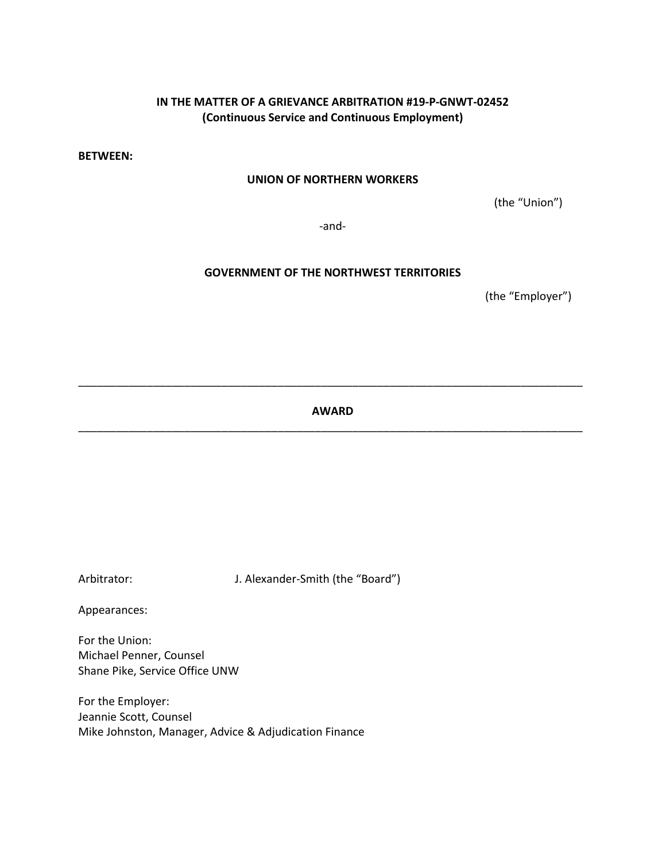# **IN THE MATTER OF A GRIEVANCE ARBITRATION #19-P-GNWT-02452 (Continuous Service and Continuous Employment)**

**BETWEEN:**

## **UNION OF NORTHERN WORKERS**

(the "Union")

-and-

## **GOVERNMENT OF THE NORTHWEST TERRITORIES**

(the "Employer")

**AWARD** \_\_\_\_\_\_\_\_\_\_\_\_\_\_\_\_\_\_\_\_\_\_\_\_\_\_\_\_\_\_\_\_\_\_\_\_\_\_\_\_\_\_\_\_\_\_\_\_\_\_\_\_\_\_\_\_\_\_\_\_\_\_\_\_\_\_\_\_\_\_\_\_\_\_\_\_\_\_\_\_\_

\_\_\_\_\_\_\_\_\_\_\_\_\_\_\_\_\_\_\_\_\_\_\_\_\_\_\_\_\_\_\_\_\_\_\_\_\_\_\_\_\_\_\_\_\_\_\_\_\_\_\_\_\_\_\_\_\_\_\_\_\_\_\_\_\_\_\_\_\_\_\_\_\_\_\_\_\_\_\_\_\_

Arbitrator: J. Alexander-Smith (the "Board")

Appearances:

For the Union: Michael Penner, Counsel Shane Pike, Service Office UNW

For the Employer: Jeannie Scott, Counsel Mike Johnston, Manager, Advice & Adjudication Finance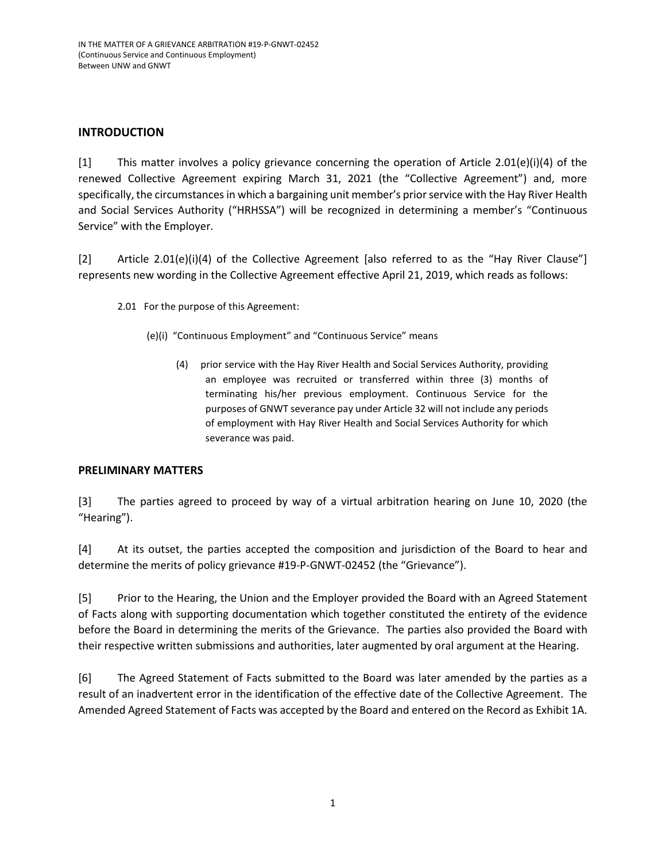# **INTRODUCTION**

[1] This matter involves a policy grievance concerning the operation of Article 2.01(e)(i)(4) of the renewed Collective Agreement expiring March 31, 2021 (the "Collective Agreement") and, more specifically, the circumstances in which a bargaining unit member's prior service with the Hay River Health and Social Services Authority ("HRHSSA") will be recognized in determining a member's "Continuous Service" with the Employer.

[2] Article 2.01(e)(i)(4) of the Collective Agreement [also referred to as the "Hay River Clause"] represents new wording in the Collective Agreement effective April 21, 2019, which reads as follows:

- 2.01 For the purpose of this Agreement:
	- (e)(i) "Continuous Employment" and "Continuous Service" means
		- (4) prior service with the Hay River Health and Social Services Authority, providing an employee was recruited or transferred within three (3) months of terminating his/her previous employment. Continuous Service for the purposes of GNWT severance pay under Article 32 will not include any periods of employment with Hay River Health and Social Services Authority for which severance was paid.

## **PRELIMINARY MATTERS**

[3] The parties agreed to proceed by way of a virtual arbitration hearing on June 10, 2020 (the "Hearing").

[4] At its outset, the parties accepted the composition and jurisdiction of the Board to hear and determine the merits of policy grievance #19-P-GNWT-02452 (the "Grievance").

[5] Prior to the Hearing, the Union and the Employer provided the Board with an Agreed Statement of Facts along with supporting documentation which together constituted the entirety of the evidence before the Board in determining the merits of the Grievance. The parties also provided the Board with their respective written submissions and authorities, later augmented by oral argument at the Hearing.

[6] The Agreed Statement of Facts submitted to the Board was later amended by the parties as a result of an inadvertent error in the identification of the effective date of the Collective Agreement. The Amended Agreed Statement of Facts was accepted by the Board and entered on the Record as Exhibit 1A.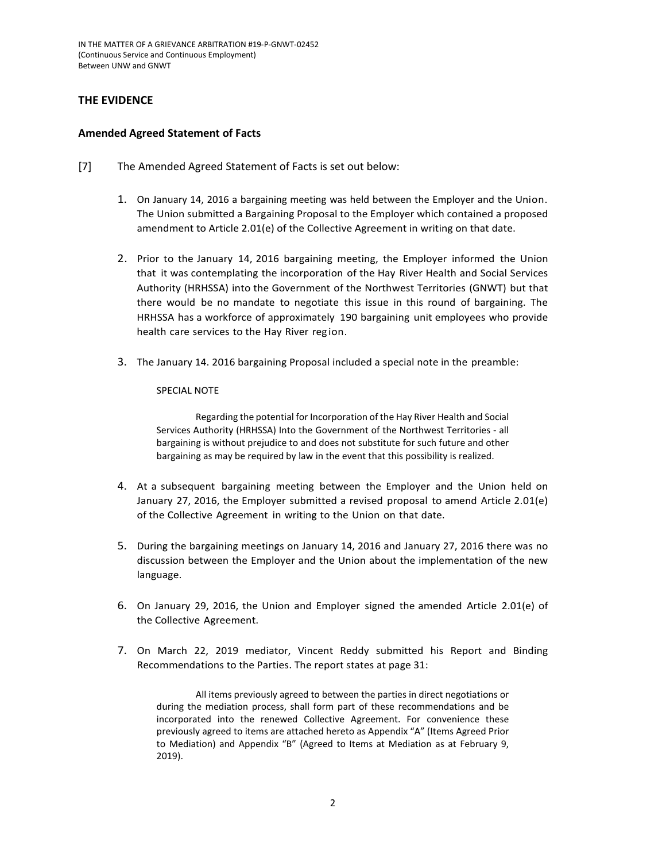IN THE MATTER OF A GRIEVANCE ARBITRATION #19-P-GNWT-02452 (Continuous Service and Continuous Employment) Between UNW and GNWT

## **THE EVIDENCE**

#### **Amended Agreed Statement of Facts**

- [7] The Amended Agreed Statement of Facts is set out below:
	- 1. On January 14, 2016 a bargaining meeting was held between the Employer and the Union. The Union submitted a Bargaining Proposal to the Employer which contained a proposed amendment to Article 2.01(e) of the Collective Agreement in writing on that date.
	- 2. Prior to the January 14, 2016 bargaining meeting, the Employer informed the Union that it was contemplating the incorporation of the Hay River Health and Social Services Authority (HRHSSA) into the Government of the Northwest Territories (GNWT) but that there would be no mandate to negotiate this issue in this round of bargaining. The HRHSSA has a workforce of approximately 190 bargaining unit employees who provide health care services to the Hay River region.
	- 3. The January 14. 2016 bargaining Proposal included a special note in the preamble:

#### SPECIAL NOTE

Regarding the potential for Incorporation of the Hay River Health and Social Services Authority (HRHSSA) Into the Government of the Northwest Territories - all bargaining is without prejudice to and does not substitute for such future and other bargaining as may be required by law in the event that this possibility is realized.

- 4. At a subsequent bargaining meeting between the Employer and the Union held on January 27, 2016, the Employer submitted a revised proposal to amend Article 2.01(e) of the Collective Agreement in writing to the Union on that date.
- 5. During the bargaining meetings on January 14, 2016 and January 27, 2016 there was no discussion between the Employer and the Union about the implementation of the new language.
- 6. On January 29, 2016, the Union and Employer signed the amended Article 2.01(e) of the Collective Agreement.
- 7. On March 22, 2019 mediator, Vincent Reddy submitted his Report and Binding Recommendations to the Parties. The report states at page 31:

All items previously agreed to between the parties in direct negotiations or during the mediation process, shall form part of these recommendations and be incorporated into the renewed Collective Agreement. For convenience these previously agreed to items are attached hereto as Appendix "A" (Items Agreed Prior to Mediation) and Appendix "B" (Agreed to Items at Mediation as at February 9, 2019).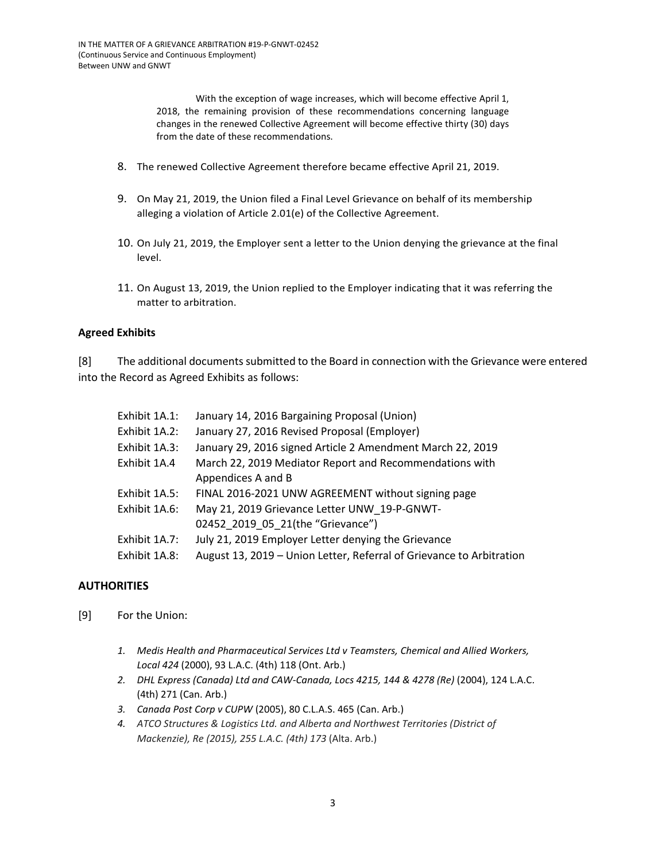With the exception of wage increases, which will become effective April 1, 2018, the remaining provision of these recommendations concerning language changes in the renewed Collective Agreement will become effective thirty (30) days from the date of these recommendations.

- 8. The renewed Collective Agreement therefore became effective April 21, 2019.
- 9. On May 21, 2019, the Union filed a Final Level Grievance on behalf of its membership alleging a violation of Article 2.01(e) of the Collective Agreement.
- 10. On July 21, 2019, the Employer sent a letter to the Union denying the grievance at the final level.
- 11. On August 13, 2019, the Union replied to the Employer indicating that it was referring the matter to arbitration.

## **Agreed Exhibits**

[8] The additional documents submitted to the Board in connection with the Grievance were entered into the Record as Agreed Exhibits as follows:

| Exhibit 1A.1: | January 14, 2016 Bargaining Proposal (Union)                         |
|---------------|----------------------------------------------------------------------|
| Exhibit 1A.2: | January 27, 2016 Revised Proposal (Employer)                         |
| Exhibit 1A.3: | January 29, 2016 signed Article 2 Amendment March 22, 2019           |
| Exhibit 1A.4  | March 22, 2019 Mediator Report and Recommendations with              |
|               | Appendices A and B                                                   |
| Exhibit 1A.5: | FINAL 2016-2021 UNW AGREEMENT without signing page                   |
| Exhibit 1A.6: | May 21, 2019 Grievance Letter UNW 19-P-GNWT-                         |
|               | 02452 2019 05 21(the "Grievance")                                    |
| Exhibit 1A.7: | July 21, 2019 Employer Letter denying the Grievance                  |
| Exhibit 1A.8: | August 13, 2019 - Union Letter, Referral of Grievance to Arbitration |

## **AUTHORITIES**

- [9] For the Union:
	- *1. Medis Health and Pharmaceutical Services Ltd v Teamsters, Chemical and Allied Workers, Local 424* (2000), 93 L.A.C. (4th) 118 (Ont. Arb.)
	- *2. DHL Express (Canada) Ltd and CAW-Canada, Locs 4215, 144 & 4278 (Re)* (2004), 124 L.A.C. (4th) 271 (Can. Arb.)
	- *3. Canada Post Corp v CUPW* (2005), 80 C.L.A.S. 465 (Can. Arb.)
	- *4. ATCO Structures & Logistics Ltd. and Alberta and Northwest Territories (District of Mackenzie), Re (2015), 255 L.A.C. (4th) 173* (Alta. Arb.)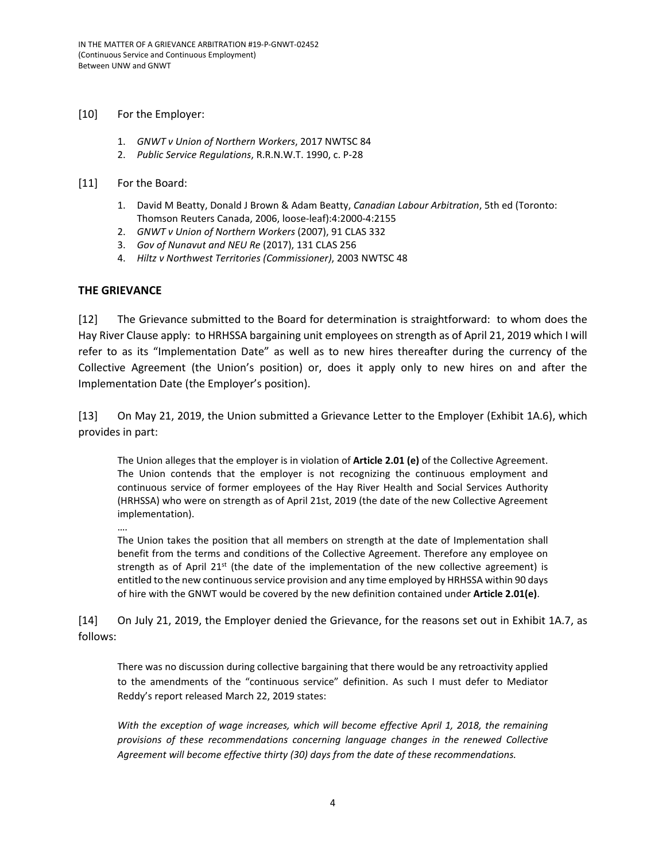[10] For the Employer:

- 1. *GNWT v Union of Northern Workers*, 2017 NWTSC 84
- 2. *Public Service Regulations*, R.R.N.W.T. 1990, c. P-28

#### [11] For the Board:

- 1. David M Beatty, Donald J Brown & Adam Beatty, *Canadian Labour Arbitration*, 5th ed (Toronto: Thomson Reuters Canada, 2006, loose-leaf):4:2000-4:2155
- 2. *GNWT v Union of Northern Workers* (2007), 91 CLAS 332
- 3. *Gov of Nunavut and NEU Re* (2017), 131 CLAS 256
- 4. *Hiltz v Northwest Territories (Commissioner)*, 2003 NWTSC 48

### **THE GRIEVANCE**

[12] The Grievance submitted to the Board for determination is straightforward: to whom does the Hay River Clause apply: to HRHSSA bargaining unit employees on strength as of April 21, 2019 which I will refer to as its "Implementation Date" as well as to new hires thereafter during the currency of the Collective Agreement (the Union's position) or, does it apply only to new hires on and after the Implementation Date (the Employer's position).

[13] On May 21, 2019, the Union submitted a Grievance Letter to the Employer (Exhibit 1A.6), which provides in part:

The Union alleges that the employer is in violation of **Article 2.01 (e)** of the Collective Agreement. The Union contends that the employer is not recognizing the continuous employment and continuous service of former employees of the Hay River Health and Social Services Authority (HRHSSA) who were on strength as of April 21st, 2019 (the date of the new Collective Agreement implementation).

The Union takes the position that all members on strength at the date of Implementation shall benefit from the terms and conditions of the Collective Agreement. Therefore any employee on strength as of April  $21^{st}$  (the date of the implementation of the new collective agreement) is entitled to the new continuous service provision and any time employed by HRHSSA within 90 days of hire with the GNWT would be covered by the new definition contained under **Article 2.01(e)**.

[14] On July 21, 2019, the Employer denied the Grievance, for the reasons set out in Exhibit 1A.7, as follows:

There was no discussion during collective bargaining that there would be any retroactivity applied to the amendments of the "continuous service" definition. As such I must defer to Mediator Reddy's report released March 22, 2019 states:

*With the exception of wage increases, which will become effective April 1, 2018, the remaining provisions of these recommendations concerning language changes in the renewed Collective Agreement will become effective thirty (30) days from the date of these recommendations.*

<sup>….</sup>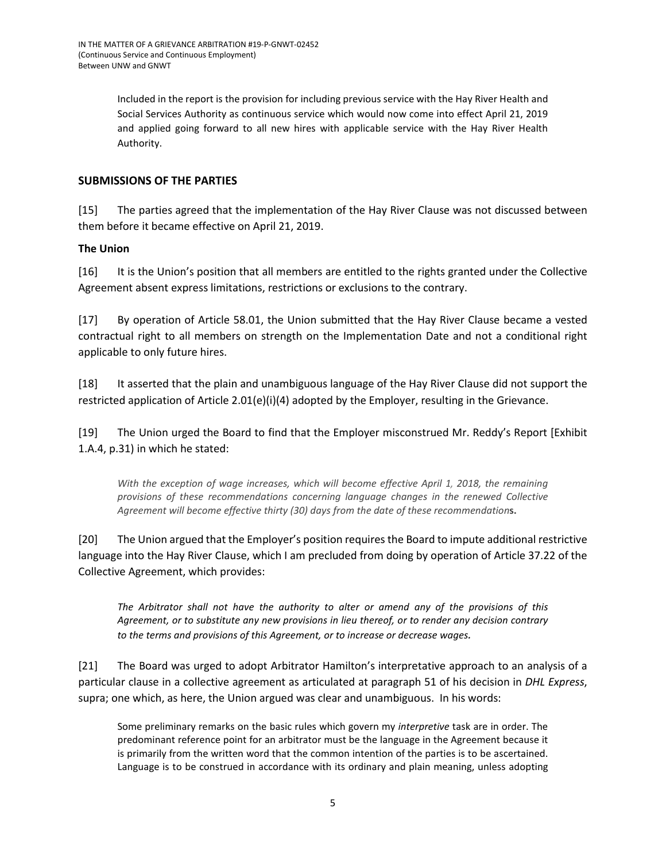Included in the report is the provision for including previous service with the Hay River Health and Social Services Authority as continuous service which would now come into effect April 21, 2019 and applied going forward to all new hires with applicable service with the Hay River Health Authority.

## **SUBMISSIONS OF THE PARTIES**

[15] The parties agreed that the implementation of the Hay River Clause was not discussed between them before it became effective on April 21, 2019.

## **The Union**

[16] It is the Union's position that all members are entitled to the rights granted under the Collective Agreement absent express limitations, restrictions or exclusions to the contrary.

[17] By operation of Article 58.01, the Union submitted that the Hay River Clause became a vested contractual right to all members on strength on the Implementation Date and not a conditional right applicable to only future hires.

[18] It asserted that the plain and unambiguous language of the Hay River Clause did not support the restricted application of Article 2.01(e)(i)(4) adopted by the Employer, resulting in the Grievance.

[19] The Union urged the Board to find that the Employer misconstrued Mr. Reddy's Report [Exhibit 1.A.4, p.31) in which he stated:

*With the exception of wage increases, which will become effective April 1, 2018, the remaining provisions of these recommendations concerning language changes in the renewed Collective Agreement will become effective thirty (30) days from the date of these recommendation***s.**

[20] The Union argued that the Employer's position requires the Board to impute additional restrictive language into the Hay River Clause, which I am precluded from doing by operation of Article 37.22 of the Collective Agreement, which provides:

*The Arbitrator shall not have the authority to alter or amend any of the provisions of this Agreement, or to substitute any new provisions in lieu thereof, or to render any decision contrary to the terms and provisions of this Agreement, or to increase or decrease wages.*

[21] The Board was urged to adopt Arbitrator Hamilton's interpretative approach to an analysis of a particular clause in a collective agreement as articulated at paragraph 51 of his decision in *DHL Express*, supra; one which, as here, the Union argued was clear and unambiguous. In his words:

Some preliminary remarks on the basic rules which govern my *interpretive* task are in order. The predominant reference point for an arbitrator must be the language in the Agreement because it is primarily from the written word that the common intention of the parties is to be ascertained. Language is to be construed in accordance with its ordinary and plain meaning, unless adopting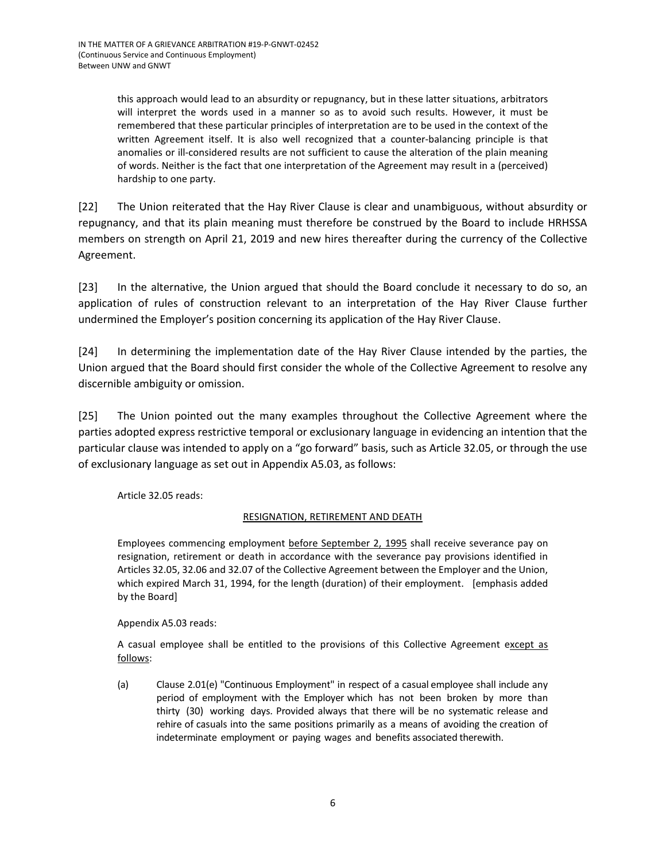this approach would lead to an absurdity or repugnancy, but in these latter situations, arbitrators will interpret the words used in a manner so as to avoid such results. However, it must be remembered that these particular principles of interpretation are to be used in the context of the written Agreement itself. It is also well recognized that a counter-balancing principle is that anomalies or ill-considered results are not sufficient to cause the alteration of the plain meaning of words. Neither is the fact that one interpretation of the Agreement may result in a (perceived) hardship to one party.

[22] The Union reiterated that the Hay River Clause is clear and unambiguous, without absurdity or repugnancy, and that its plain meaning must therefore be construed by the Board to include HRHSSA members on strength on April 21, 2019 and new hires thereafter during the currency of the Collective Agreement.

[23] In the alternative, the Union argued that should the Board conclude it necessary to do so, an application of rules of construction relevant to an interpretation of the Hay River Clause further undermined the Employer's position concerning its application of the Hay River Clause.

[24] In determining the implementation date of the Hay River Clause intended by the parties, the Union argued that the Board should first consider the whole of the Collective Agreement to resolve any discernible ambiguity or omission.

[25] The Union pointed out the many examples throughout the Collective Agreement where the parties adopted express restrictive temporal or exclusionary language in evidencing an intention that the particular clause was intended to apply on a "go forward" basis, such as Article 32.05, or through the use of exclusionary language as set out in Appendix A5.03, as follows:

Article 32.05 reads:

## RESIGNATION, RETIREMENT AND DEATH

Employees commencing employment before September 2, 1995 shall receive severance pay on resignation, retirement or death in accordance with the severance pay provisions identified in Articles 32.05, 32.06 and 32.07 of the Collective Agreement between the Employer and the Union, which expired March 31, 1994, for the length (duration) of their employment. [emphasis added by the Board]

Appendix A5.03 reads:

A casual employee shall be entitled to the provisions of this Collective Agreement except as follows:

(a) Clause 2.01(e) "Continuous Employment" in respect of a casual employee shall include any period of employment with the Employer which has not been broken by more than thirty (30) working days. Provided always that there will be no systematic release and rehire of casuals into the same positions primarily as a means of avoiding the creation of indeterminate employment or paying wages and benefits associated therewith.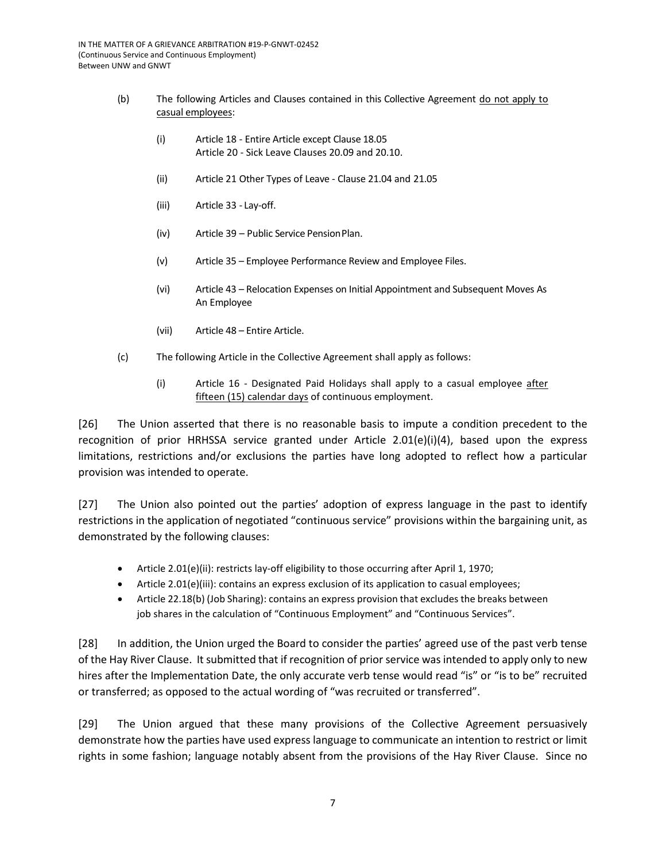- (b) The following Articles and Clauses contained in this Collective Agreement do not apply to casual employees:
	- (i) Article 18 Entire Article except Clause 18.05 Article 20 - Sick Leave Clauses 20.09 and 20.10.
	- (ii) Article 21 Other Types of Leave Clause 21.04 and 21.05
	- (iii) Article 33 Lay-off.
	- (iv) Article 39 Public Service PensionPlan.
	- (v) Article 35 Employee Performance Review and Employee Files.
	- (vi) Article 43 Relocation Expenses on Initial Appointment and Subsequent Moves As An Employee
	- (vii) Article 48 Entire Article.
- (c) The following Article in the Collective Agreement shall apply as follows:
	- (i) Article 16 Designated Paid Holidays shall apply to a casual employee after fifteen (15) calendar days of continuous employment.

[26] The Union asserted that there is no reasonable basis to impute a condition precedent to the recognition of prior HRHSSA service granted under Article 2.01(e)(i)(4), based upon the express limitations, restrictions and/or exclusions the parties have long adopted to reflect how a particular provision was intended to operate.

[27] The Union also pointed out the parties' adoption of express language in the past to identify restrictions in the application of negotiated "continuous service" provisions within the bargaining unit, as demonstrated by the following clauses:

- Article 2.01(e)(ii): restricts lay-off eligibility to those occurring after April 1, 1970;
- Article 2.01(e)(iii): contains an express exclusion of its application to casual employees;
- Article 22.18(b) (Job Sharing): contains an express provision that excludes the breaks between job shares in the calculation of "Continuous Employment" and "Continuous Services".

[28] In addition, the Union urged the Board to consider the parties' agreed use of the past verb tense of the Hay River Clause. It submitted that if recognition of prior service was intended to apply only to new hires after the Implementation Date, the only accurate verb tense would read "is" or "is to be" recruited or transferred; as opposed to the actual wording of "was recruited or transferred".

[29] The Union argued that these many provisions of the Collective Agreement persuasively demonstrate how the parties have used express language to communicate an intention to restrict or limit rights in some fashion; language notably absent from the provisions of the Hay River Clause. Since no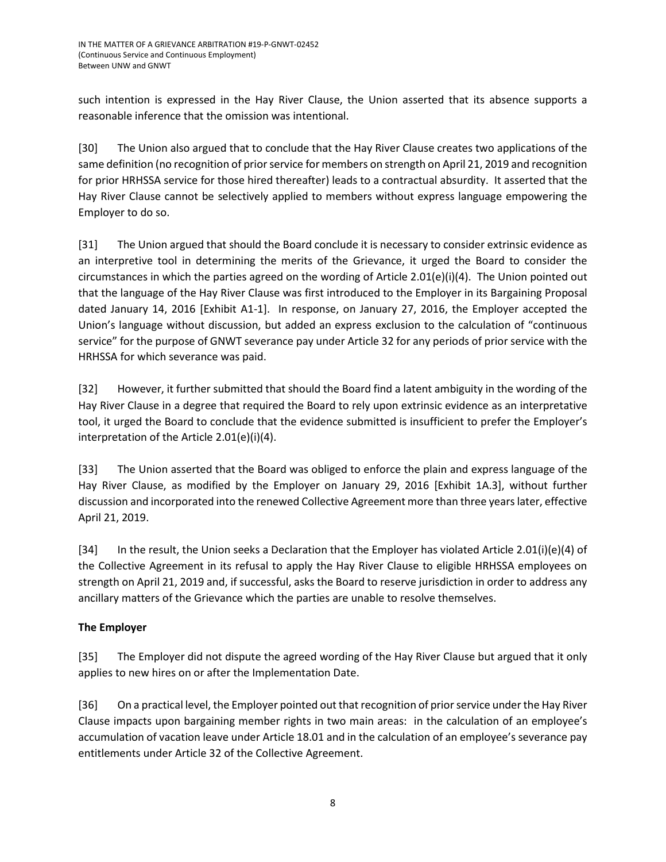such intention is expressed in the Hay River Clause, the Union asserted that its absence supports a reasonable inference that the omission was intentional.

[30] The Union also argued that to conclude that the Hay River Clause creates two applications of the same definition (no recognition of prior service for members on strength on April 21, 2019 and recognition for prior HRHSSA service for those hired thereafter) leads to a contractual absurdity. It asserted that the Hay River Clause cannot be selectively applied to members without express language empowering the Employer to do so.

[31] The Union argued that should the Board conclude it is necessary to consider extrinsic evidence as an interpretive tool in determining the merits of the Grievance, it urged the Board to consider the circumstances in which the parties agreed on the wording of Article 2.01(e)(i)(4). The Union pointed out that the language of the Hay River Clause was first introduced to the Employer in its Bargaining Proposal dated January 14, 2016 [Exhibit A1-1]. In response, on January 27, 2016, the Employer accepted the Union's language without discussion, but added an express exclusion to the calculation of "continuous service" for the purpose of GNWT severance pay under Article 32 for any periods of prior service with the HRHSSA for which severance was paid.

[32] However, it further submitted that should the Board find a latent ambiguity in the wording of the Hay River Clause in a degree that required the Board to rely upon extrinsic evidence as an interpretative tool, it urged the Board to conclude that the evidence submitted is insufficient to prefer the Employer's interpretation of the Article 2.01(e)(i)(4).

[33] The Union asserted that the Board was obliged to enforce the plain and express language of the Hay River Clause, as modified by the Employer on January 29, 2016 [Exhibit 1A.3], without further discussion and incorporated into the renewed Collective Agreement more than three years later, effective April 21, 2019.

[34] In the result, the Union seeks a Declaration that the Employer has violated Article 2.01(i)(e)(4) of the Collective Agreement in its refusal to apply the Hay River Clause to eligible HRHSSA employees on strength on April 21, 2019 and, if successful, asks the Board to reserve jurisdiction in order to address any ancillary matters of the Grievance which the parties are unable to resolve themselves.

# **The Employer**

[35] The Employer did not dispute the agreed wording of the Hay River Clause but argued that it only applies to new hires on or after the Implementation Date.

[36] On a practical level, the Employer pointed out that recognition of prior service under the Hay River Clause impacts upon bargaining member rights in two main areas: in the calculation of an employee's accumulation of vacation leave under Article 18.01 and in the calculation of an employee's severance pay entitlements under Article 32 of the Collective Agreement.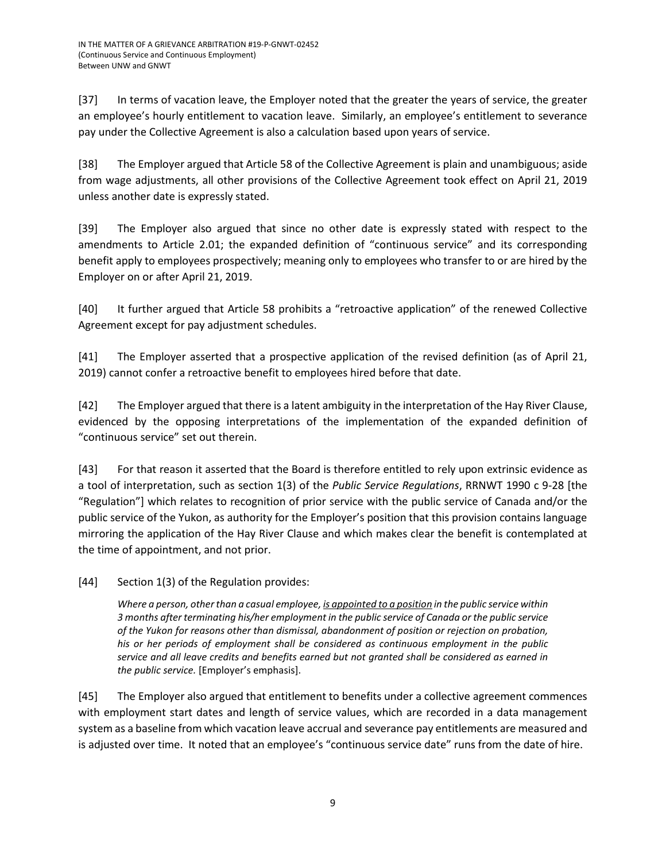[37] In terms of vacation leave, the Employer noted that the greater the years of service, the greater an employee's hourly entitlement to vacation leave. Similarly, an employee's entitlement to severance pay under the Collective Agreement is also a calculation based upon years of service.

[38] The Employer argued that Article 58 of the Collective Agreement is plain and unambiguous; aside from wage adjustments, all other provisions of the Collective Agreement took effect on April 21, 2019 unless another date is expressly stated.

[39] The Employer also argued that since no other date is expressly stated with respect to the amendments to Article 2.01; the expanded definition of "continuous service" and its corresponding benefit apply to employees prospectively; meaning only to employees who transfer to or are hired by the Employer on or after April 21, 2019.

[40] It further argued that Article 58 prohibits a "retroactive application" of the renewed Collective Agreement except for pay adjustment schedules.

[41] The Employer asserted that a prospective application of the revised definition (as of April 21, 2019) cannot confer a retroactive benefit to employees hired before that date.

[42] The Employer argued that there is a latent ambiguity in the interpretation of the Hay River Clause, evidenced by the opposing interpretations of the implementation of the expanded definition of "continuous service" set out therein.

[43] For that reason it asserted that the Board is therefore entitled to rely upon extrinsic evidence as a tool of interpretation, such as section 1(3) of the *Public Service Regulations*, RRNWT 1990 c 9-28 [the "Regulation"] which relates to recognition of prior service with the public service of Canada and/or the public service of the Yukon, as authority for the Employer's position that this provision contains language mirroring the application of the Hay River Clause and which makes clear the benefit is contemplated at the time of appointment, and not prior.

[44] Section 1(3) of the Regulation provides:

*Where a person, other than a casual employee, is appointed to a position in the public service within 3 months after terminating his/her employment in the public service of Canada or the public service of the Yukon for reasons other than dismissal, abandonment of position or rejection on probation, his or her periods of employment shall be considered as continuous employment in the public service and all leave credits and benefits earned but not granted shall be considered as earned in the public service.* [Employer's emphasis].

[45] The Employer also argued that entitlement to benefits under a collective agreement commences with employment start dates and length of service values, which are recorded in a data management system as a baseline from which vacation leave accrual and severance pay entitlements are measured and is adjusted over time. It noted that an employee's "continuous service date" runs from the date of hire.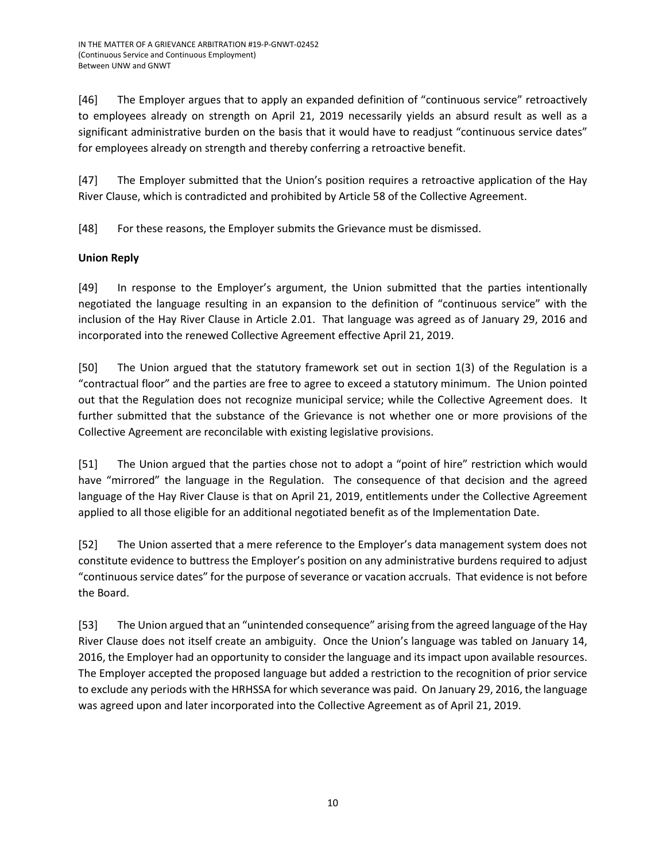[46] The Employer argues that to apply an expanded definition of "continuous service" retroactively to employees already on strength on April 21, 2019 necessarily yields an absurd result as well as a significant administrative burden on the basis that it would have to readjust "continuous service dates" for employees already on strength and thereby conferring a retroactive benefit.

[47] The Employer submitted that the Union's position requires a retroactive application of the Hay River Clause, which is contradicted and prohibited by Article 58 of the Collective Agreement.

[48] For these reasons, the Employer submits the Grievance must be dismissed.

# **Union Reply**

[49] In response to the Employer's argument, the Union submitted that the parties intentionally negotiated the language resulting in an expansion to the definition of "continuous service" with the inclusion of the Hay River Clause in Article 2.01. That language was agreed as of January 29, 2016 and incorporated into the renewed Collective Agreement effective April 21, 2019.

[50] The Union argued that the statutory framework set out in section 1(3) of the Regulation is a "contractual floor" and the parties are free to agree to exceed a statutory minimum. The Union pointed out that the Regulation does not recognize municipal service; while the Collective Agreement does. It further submitted that the substance of the Grievance is not whether one or more provisions of the Collective Agreement are reconcilable with existing legislative provisions.

[51] The Union argued that the parties chose not to adopt a "point of hire" restriction which would have "mirrored" the language in the Regulation. The consequence of that decision and the agreed language of the Hay River Clause is that on April 21, 2019, entitlements under the Collective Agreement applied to all those eligible for an additional negotiated benefit as of the Implementation Date.

[52] The Union asserted that a mere reference to the Employer's data management system does not constitute evidence to buttress the Employer's position on any administrative burdens required to adjust "continuous service dates" for the purpose of severance or vacation accruals. That evidence is not before the Board.

[53] The Union argued that an "unintended consequence" arising from the agreed language of the Hay River Clause does not itself create an ambiguity. Once the Union's language was tabled on January 14, 2016, the Employer had an opportunity to consider the language and its impact upon available resources. The Employer accepted the proposed language but added a restriction to the recognition of prior service to exclude any periods with the HRHSSA for which severance was paid. On January 29, 2016, the language was agreed upon and later incorporated into the Collective Agreement as of April 21, 2019.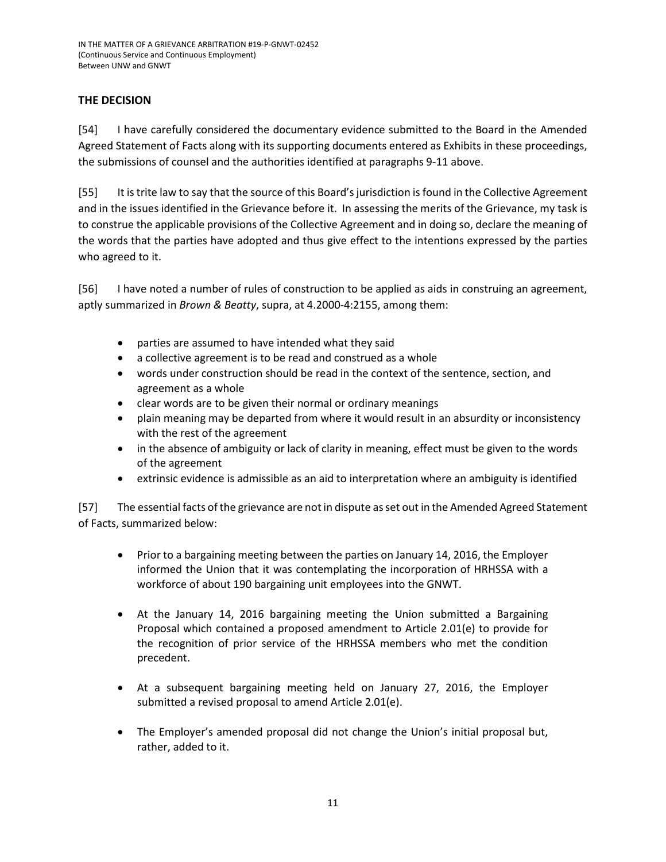# **THE DECISION**

[54] I have carefully considered the documentary evidence submitted to the Board in the Amended Agreed Statement of Facts along with its supporting documents entered as Exhibits in these proceedings, the submissions of counsel and the authorities identified at paragraphs 9-11 above.

[55] It is trite law to say that the source of this Board's jurisdiction is found in the Collective Agreement and in the issues identified in the Grievance before it. In assessing the merits of the Grievance, my task is to construe the applicable provisions of the Collective Agreement and in doing so, declare the meaning of the words that the parties have adopted and thus give effect to the intentions expressed by the parties who agreed to it.

[56] I have noted a number of rules of construction to be applied as aids in construing an agreement, aptly summarized in *Brown & Beatty*, supra, at 4.2000-4:2155, among them:

- parties are assumed to have intended what they said
- a collective agreement is to be read and construed as a whole
- words under construction should be read in the context of the sentence, section, and agreement as a whole
- clear words are to be given their normal or ordinary meanings
- plain meaning may be departed from where it would result in an absurdity or inconsistency with the rest of the agreement
- in the absence of ambiguity or lack of clarity in meaning, effect must be given to the words of the agreement
- extrinsic evidence is admissible as an aid to interpretation where an ambiguity is identified

[57] The essential facts of the grievance are not in dispute as set out in the Amended Agreed Statement of Facts, summarized below:

- Prior to a bargaining meeting between the parties on January 14, 2016, the Employer informed the Union that it was contemplating the incorporation of HRHSSA with a workforce of about 190 bargaining unit employees into the GNWT.
- At the January 14, 2016 bargaining meeting the Union submitted a Bargaining Proposal which contained a proposed amendment to Article 2.01(e) to provide for the recognition of prior service of the HRHSSA members who met the condition precedent.
- At a subsequent bargaining meeting held on January 27, 2016, the Employer submitted a revised proposal to amend Article 2.01(e).
- The Employer's amended proposal did not change the Union's initial proposal but, rather, added to it.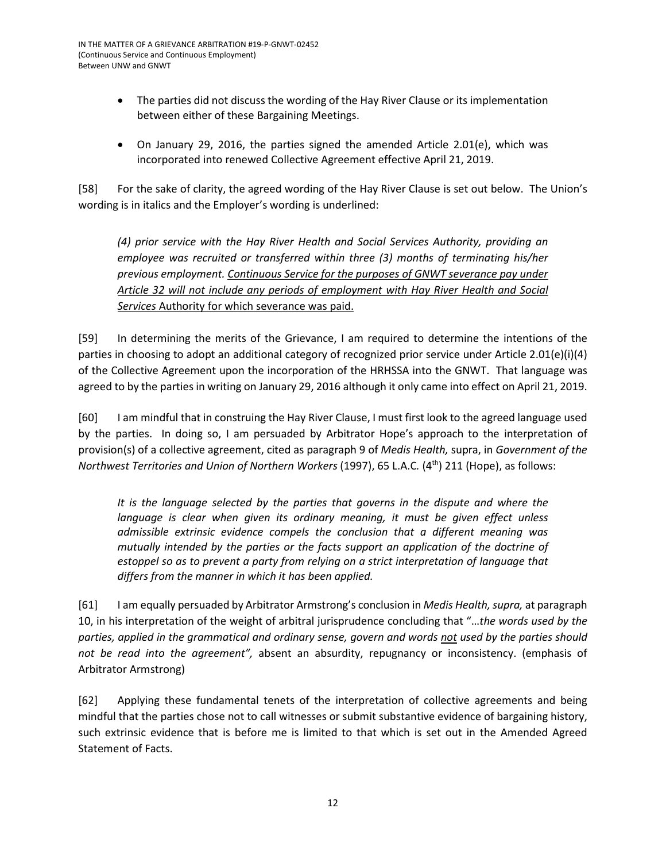- The parties did not discuss the wording of the Hay River Clause or its implementation between either of these Bargaining Meetings.
- On January 29, 2016, the parties signed the amended Article 2.01(e), which was incorporated into renewed Collective Agreement effective April 21, 2019.

[58] For the sake of clarity, the agreed wording of the Hay River Clause is set out below. The Union's wording is in italics and the Employer's wording is underlined:

*(4) prior service with the Hay River Health and Social Services Authority, providing an employee was recruited or transferred within three (3) months of terminating his/her previous employment. Continuous Service for the purposes of GNWT severance pay under Article 32 will not include any periods of employment with Hay River Health and Social Services* Authority for which severance was paid.

[59] In determining the merits of the Grievance, I am required to determine the intentions of the parties in choosing to adopt an additional category of recognized prior service under Article 2.01(e)(i)(4) of the Collective Agreement upon the incorporation of the HRHSSA into the GNWT. That language was agreed to by the parties in writing on January 29, 2016 although it only came into effect on April 21, 2019.

[60] I am mindful that in construing the Hay River Clause, I must first look to the agreed language used by the parties. In doing so, I am persuaded by Arbitrator Hope's approach to the interpretation of provision(s) of a collective agreement, cited as paragraph 9 of *Medis Health,* supra, in *Government of the Northwest Territories and Union of Northern Workers (1997), 65 L.A.C. (4<sup>th</sup>) 211 (Hope), as follows:* 

It is the language selected by the parties that governs in the dispute and where the *language is clear when given its ordinary meaning, it must be given effect unless admissible extrinsic evidence compels the conclusion that a different meaning was mutually intended by the parties or the facts support an application of the doctrine of estoppel so as to prevent a party from relying on a strict interpretation of language that differs from the manner in which it has been applied.*

[61] I am equally persuaded by Arbitrator Armstrong's conclusion in *Medis Health, supra,* at paragraph 10, in his interpretation of the weight of arbitral jurisprudence concluding that "…*the words used by the parties, applied in the grammatical and ordinary sense, govern and words not used by the parties should not be read into the agreement",* absent an absurdity, repugnancy or inconsistency. (emphasis of Arbitrator Armstrong)

[62] Applying these fundamental tenets of the interpretation of collective agreements and being mindful that the parties chose not to call witnesses or submit substantive evidence of bargaining history, such extrinsic evidence that is before me is limited to that which is set out in the Amended Agreed Statement of Facts.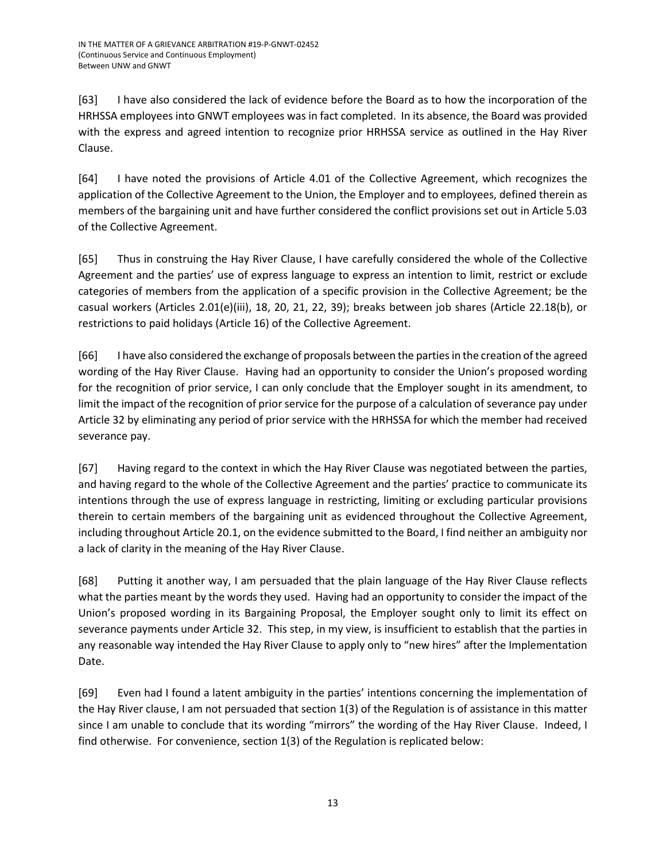[63] I have also considered the lack of evidence before the Board as to how the incorporation of the HRHSSA employees into GNWT employees was in fact completed. In its absence, the Board was provided with the express and agreed intention to recognize prior HRHSSA service as outlined in the Hay River Clause.

[64] I have noted the provisions of Article 4.01 of the Collective Agreement, which recognizes the application of the Collective Agreement to the Union, the Employer and to employees, defined therein as members of the bargaining unit and have further considered the conflict provisions set out in Article 5.03 of the Collective Agreement.

[65] Thus in construing the Hay River Clause, I have carefully considered the whole of the Collective Agreement and the parties' use of express language to express an intention to limit, restrict or exclude categories of members from the application of a specific provision in the Collective Agreement; be the casual workers (Articles 2.01(e)(iii), 18, 20, 21, 22, 39); breaks between job shares (Article 22.18(b), or restrictions to paid holidays (Article 16) of the Collective Agreement.

[66] I have also considered the exchange of proposals between the parties in the creation of the agreed wording of the Hay River Clause. Having had an opportunity to consider the Union's proposed wording for the recognition of prior service, I can only conclude that the Employer sought in its amendment, to limit the impact of the recognition of prior service for the purpose of a calculation of severance pay under Article 32 by eliminating any period of prior service with the HRHSSA for which the member had received severance pay.

[67] Having regard to the context in which the Hay River Clause was negotiated between the parties, and having regard to the whole of the Collective Agreement and the parties' practice to communicate its intentions through the use of express language in restricting, limiting or excluding particular provisions therein to certain members of the bargaining unit as evidenced throughout the Collective Agreement, including throughout Article 20.1, on the evidence submitted to the Board, I find neither an ambiguity nor a lack of clarity in the meaning of the Hay River Clause.

[68] Putting it another way, I am persuaded that the plain language of the Hay River Clause reflects what the parties meant by the words they used. Having had an opportunity to consider the impact of the Union's proposed wording in its Bargaining Proposal, the Employer sought only to limit its effect on severance payments under Article 32. This step, in my view, is insufficient to establish that the parties in any reasonable way intended the Hay River Clause to apply only to "new hires" after the Implementation Date.

[69] Even had I found a latent ambiguity in the parties' intentions concerning the implementation of the Hay River clause, I am not persuaded that section 1(3) of the Regulation is of assistance in this matter since I am unable to conclude that its wording "mirrors" the wording of the Hay River Clause. Indeed, I find otherwise. For convenience, section 1(3) of the Regulation is replicated below: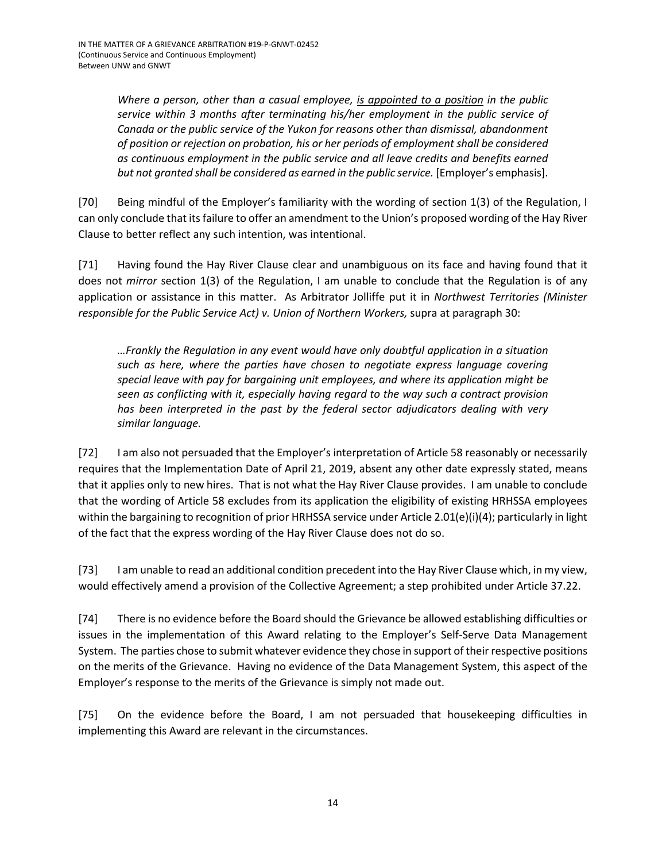*Where a person, other than a casual employee, is appointed to a position in the public service within 3 months after terminating his/her employment in the public service of Canada or the public service of the Yukon for reasons other than dismissal, abandonment of position or rejection on probation, his or her periods of employment shall be considered as continuous employment in the public service and all leave credits and benefits earned but not granted shall be considered as earned in the public service.* [Employer's emphasis].

[70] Being mindful of the Employer's familiarity with the wording of section 1(3) of the Regulation, I can only conclude that its failure to offer an amendment to the Union's proposed wording of the Hay River Clause to better reflect any such intention, was intentional.

[71] Having found the Hay River Clause clear and unambiguous on its face and having found that it does not *mirror* section 1(3) of the Regulation, I am unable to conclude that the Regulation is of any application or assistance in this matter. As Arbitrator Jolliffe put it in *Northwest Territories (Minister responsible for the Public Service Act) v. Union of Northern Workers,* supra at paragraph 30:

*…Frankly the Regulation in any event would have only doubtful application in a situation such as here, where the parties have chosen to negotiate express language covering special leave with pay for bargaining unit employees, and where its application might be seen as conflicting with it, especially having regard to the way such a contract provision*  has been interpreted in the past by the federal sector adjudicators dealing with very *similar language.* 

[72] I am also not persuaded that the Employer's interpretation of Article 58 reasonably or necessarily requires that the Implementation Date of April 21, 2019, absent any other date expressly stated, means that it applies only to new hires. That is not what the Hay River Clause provides. I am unable to conclude that the wording of Article 58 excludes from its application the eligibility of existing HRHSSA employees within the bargaining to recognition of prior HRHSSA service under Article 2.01(e)(i)(4); particularly in light of the fact that the express wording of the Hay River Clause does not do so.

[73] I am unable to read an additional condition precedent into the Hay River Clause which, in my view, would effectively amend a provision of the Collective Agreement; a step prohibited under Article 37.22.

[74] There is no evidence before the Board should the Grievance be allowed establishing difficulties or issues in the implementation of this Award relating to the Employer's Self-Serve Data Management System. The parties chose to submit whatever evidence they chose in support of their respective positions on the merits of the Grievance. Having no evidence of the Data Management System, this aspect of the Employer's response to the merits of the Grievance is simply not made out.

[75] On the evidence before the Board, I am not persuaded that housekeeping difficulties in implementing this Award are relevant in the circumstances.